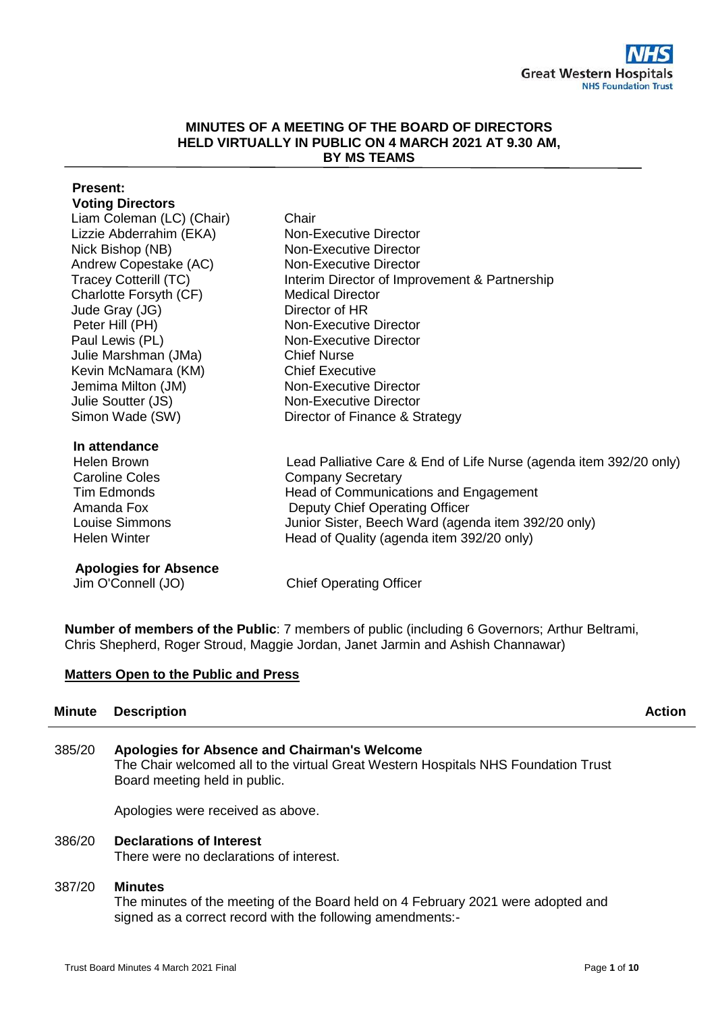## **MINUTES OF A MEETING OF THE BOARD OF DIRECTORS HELD VIRTUALLY IN PUBLIC ON 4 MARCH 2021 AT 9.30 AM, BY MS TEAMS**

# **Present: Voting Directors** Liam Coleman (LC) (Chair) Chair Lizzie Abderrahim (EKA) Non-Executive Director Nick Bishop (NB) Non-Executive Director Andrew Copestake (AC) Non-Executive Director Tracey Cotterill (TC) Interim Director of Improvement & Partnership Charlotte Forsyth (CF) Medical Director<br>
Jude Grav (JG) Director of HR Jude Gray (JG) Peter Hill (PH) Non-Executive Director Paul Lewis (PL) Non-Executive Director Julie Marshman (JMa) Chief Nurse Kevin McNamara (KM) Chief Executive Jemima Milton (JM) Non-Executive Director Julie Soutter (JS) Simon Wade (SW) Non-Executive Director Director of Finance & Strategy **In attendance** Helen Brown Lead Palliative Care & End of Life Nurse (agenda item 392/20 only) Caroline Coles Company Secretary Tim Edmonds **Head of Communications and Engagement** Amanda Fox Deputy Chief Operating Officer Louise Simmons Junior Sister, Beech Ward (agenda item 392/20 only) Helen Winter **Head of Quality (agenda item 392/20 only)**

**Apologies for Absence**

Jim O'Connell (JO) Chief Operating Officer

**Number of members of the Public**: 7 members of public (including 6 Governors; Arthur Beltrami, Chris Shepherd, Roger Stroud, Maggie Jordan, Janet Jarmin and Ashish Channawar)

# **Matters Open to the Public and Press**

# **Minute Description Action**

385/20 **Apologies for Absence and Chairman's Welcome**  The Chair welcomed all to the virtual Great Western Hospitals NHS Foundation Trust Board meeting held in public.

Apologies were received as above.

386/20 **Declarations of Interest** There were no declarations of interest.

# 387/20 **Minutes**

The minutes of the meeting of the Board held on 4 February 2021 were adopted and signed as a correct record with the following amendments:-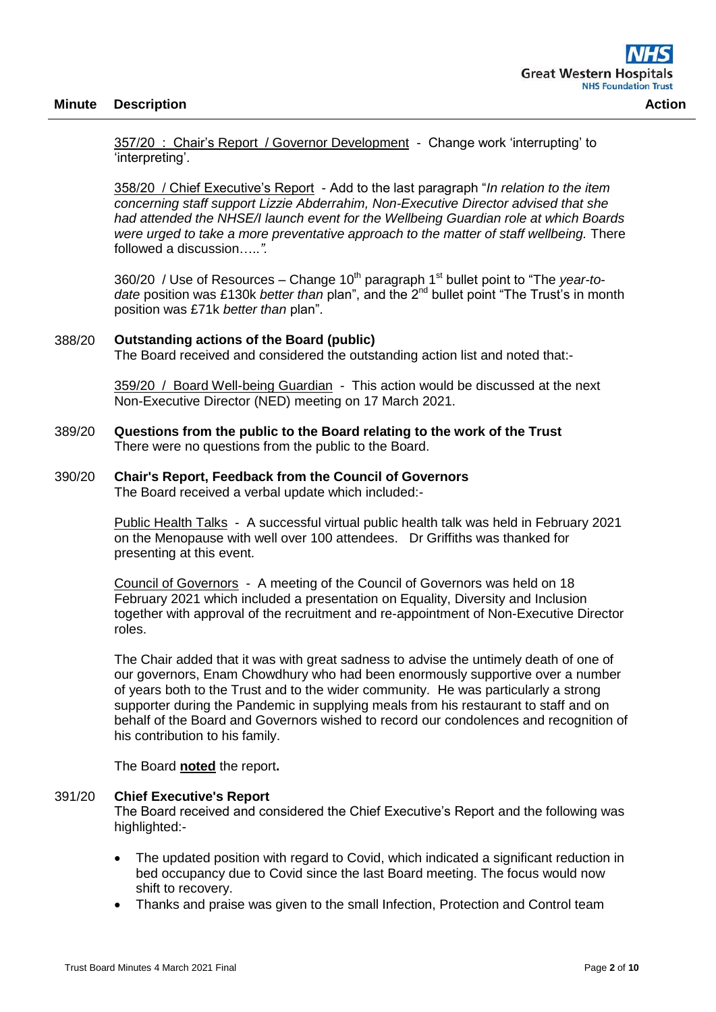357/20 : Chair's Report / Governor Development - Change work 'interrupting' to 'interpreting'.

358/20 / Chief Executive's Report - Add to the last paragraph "*In relation to the item concerning staff support Lizzie Abderrahim, Non-Executive Director advised that she had attended the NHSE/I launch event for the Wellbeing Guardian role at which Boards were urged to take a more preventative approach to the matter of staff wellbeing.* There followed a discussion….*.".*

360/20 / Use of Resources – Change 10<sup>th</sup> paragraph 1<sup>st</sup> bullet point to "The *year-to*date position was £130k *better than* plan", and the 2<sup>nd</sup> bullet point "The Trust's in month position was £71k *better than* plan".

#### 388/20 **Outstanding actions of the Board (public)**

The Board received and considered the outstanding action list and noted that:-

359/20 / Board Well-being Guardian - This action would be discussed at the next Non-Executive Director (NED) meeting on 17 March 2021.

389/20 **Questions from the public to the Board relating to the work of the Trust** There were no questions from the public to the Board.

# 390/20 **Chair's Report, Feedback from the Council of Governors**

The Board received a verbal update which included:-

Public Health Talks - A successful virtual public health talk was held in February 2021 on the Menopause with well over 100 attendees. Dr Griffiths was thanked for presenting at this event.

Council of Governors - A meeting of the Council of Governors was held on 18 February 2021 which included a presentation on Equality, Diversity and Inclusion together with approval of the recruitment and re-appointment of Non-Executive Director roles.

The Chair added that it was with great sadness to advise the untimely death of one of our governors, Enam Chowdhury who had been enormously supportive over a number of years both to the Trust and to the wider community. He was particularly a strong supporter during the Pandemic in supplying meals from his restaurant to staff and on behalf of the Board and Governors wished to record our condolences and recognition of his contribution to his family.

The Board **noted** the report**.**

#### 391/20 **Chief Executive's Report**

The Board received and considered the Chief Executive's Report and the following was highlighted:-

- The updated position with regard to Covid, which indicated a significant reduction in bed occupancy due to Covid since the last Board meeting. The focus would now shift to recovery.
- Thanks and praise was given to the small Infection, Protection and Control team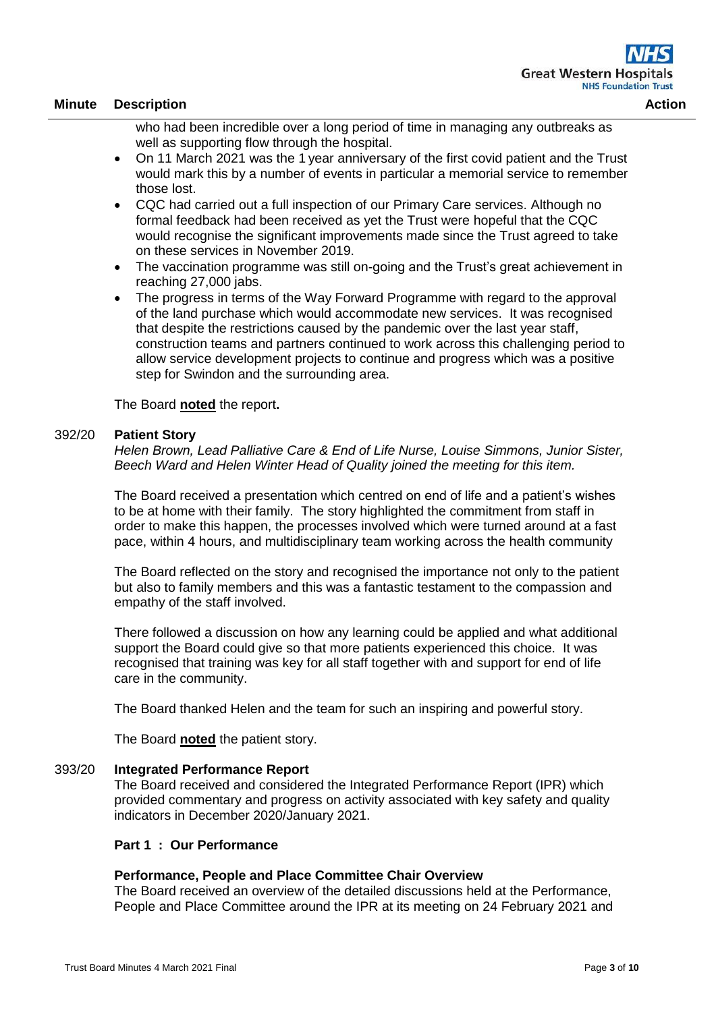who had been incredible over a long period of time in managing any outbreaks as well as supporting flow through the hospital.

- On 11 March 2021 was the 1 year anniversary of the first covid patient and the Trust would mark this by a number of events in particular a memorial service to remember those lost.
- CQC had carried out a full inspection of our Primary Care services. Although no formal feedback had been received as yet the Trust were hopeful that the CQC would recognise the significant improvements made since the Trust agreed to take on these services in November 2019.
- The vaccination programme was still on-going and the Trust's great achievement in reaching 27,000 jabs.
- The progress in terms of the Way Forward Programme with regard to the approval of the land purchase which would accommodate new services. It was recognised that despite the restrictions caused by the pandemic over the last year staff, construction teams and partners continued to work across this challenging period to allow service development projects to continue and progress which was a positive step for Swindon and the surrounding area.

The Board **noted** the report**.**

#### 392/20 **Patient Story**

*Helen Brown, Lead Palliative Care & End of Life Nurse, Louise Simmons, Junior Sister, Beech Ward and Helen Winter Head of Quality joined the meeting for this item.*

The Board received a presentation which centred on end of life and a patient's wishes to be at home with their family. The story highlighted the commitment from staff in order to make this happen, the processes involved which were turned around at a fast pace, within 4 hours, and multidisciplinary team working across the health community

The Board reflected on the story and recognised the importance not only to the patient but also to family members and this was a fantastic testament to the compassion and empathy of the staff involved.

There followed a discussion on how any learning could be applied and what additional support the Board could give so that more patients experienced this choice. It was recognised that training was key for all staff together with and support for end of life care in the community.

The Board thanked Helen and the team for such an inspiring and powerful story.

The Board **noted** the patient story.

#### 393/20 **Integrated Performance Report**

The Board received and considered the Integrated Performance Report (IPR) which provided commentary and progress on activity associated with key safety and quality indicators in December 2020/January 2021.

#### **Part 1 : Our Performance**

#### **Performance, People and Place Committee Chair Overview**

The Board received an overview of the detailed discussions held at the Performance, People and Place Committee around the IPR at its meeting on 24 February 2021 and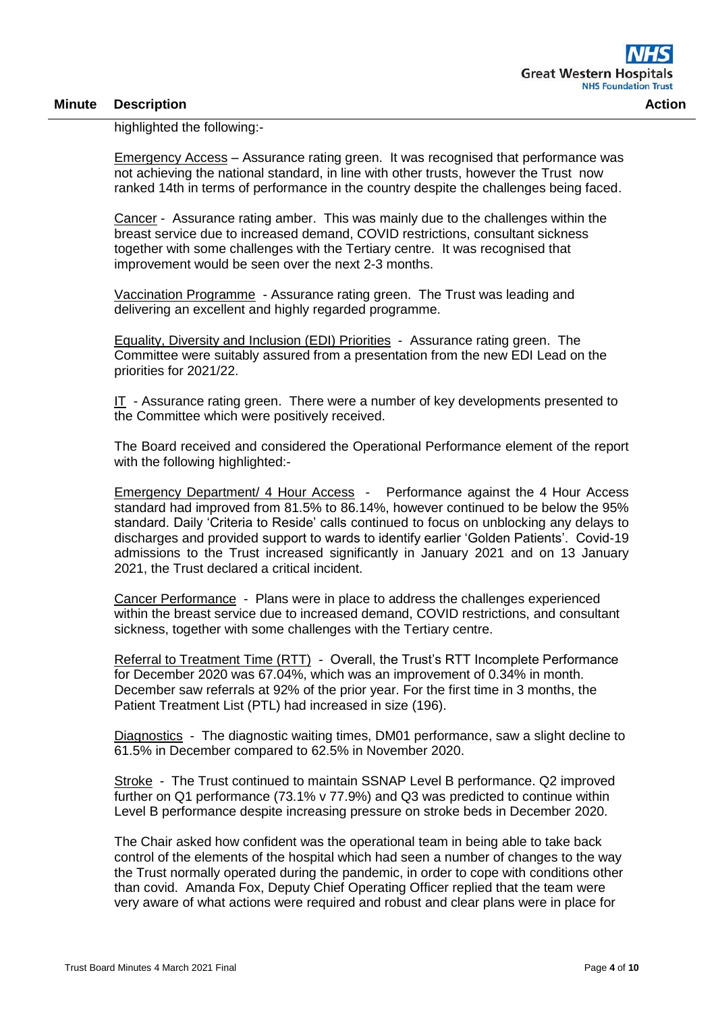highlighted the following:-

Emergency Access – Assurance rating green. It was recognised that performance was not achieving the national standard, in line with other trusts, however the Trust now ranked 14th in terms of performance in the country despite the challenges being faced.

Cancer - Assurance rating amber. This was mainly due to the challenges within the breast service due to increased demand, COVID restrictions, consultant sickness together with some challenges with the Tertiary centre. It was recognised that improvement would be seen over the next 2-3 months.

Vaccination Programme - Assurance rating green. The Trust was leading and delivering an excellent and highly regarded programme.

Equality, Diversity and Inclusion (EDI) Priorities - Assurance rating green. The Committee were suitably assured from a presentation from the new EDI Lead on the priorities for 2021/22.

IT - Assurance rating green. There were a number of key developments presented to the Committee which were positively received.

The Board received and considered the Operational Performance element of the report with the following highlighted:-

Emergency Department/ 4 Hour Access - Performance against the 4 Hour Access standard had improved from 81.5% to 86.14%, however continued to be below the 95% standard. Daily 'Criteria to Reside' calls continued to focus on unblocking any delays to discharges and provided support to wards to identify earlier 'Golden Patients'. Covid-19 admissions to the Trust increased significantly in January 2021 and on 13 January 2021, the Trust declared a critical incident.

Cancer Performance - Plans were in place to address the challenges experienced within the breast service due to increased demand, COVID restrictions, and consultant sickness, together with some challenges with the Tertiary centre.

Referral to Treatment Time (RTT) - Overall, the Trust's RTT Incomplete Performance for December 2020 was 67.04%, which was an improvement of 0.34% in month. December saw referrals at 92% of the prior year. For the first time in 3 months, the Patient Treatment List (PTL) had increased in size (196).

Diagnostics - The diagnostic waiting times, DM01 performance, saw a slight decline to 61.5% in December compared to 62.5% in November 2020.

Stroke - The Trust continued to maintain SSNAP Level B performance. Q2 improved further on Q1 performance (73.1% v 77.9%) and Q3 was predicted to continue within Level B performance despite increasing pressure on stroke beds in December 2020.

The Chair asked how confident was the operational team in being able to take back control of the elements of the hospital which had seen a number of changes to the way the Trust normally operated during the pandemic, in order to cope with conditions other than covid. Amanda Fox, Deputy Chief Operating Officer replied that the team were very aware of what actions were required and robust and clear plans were in place for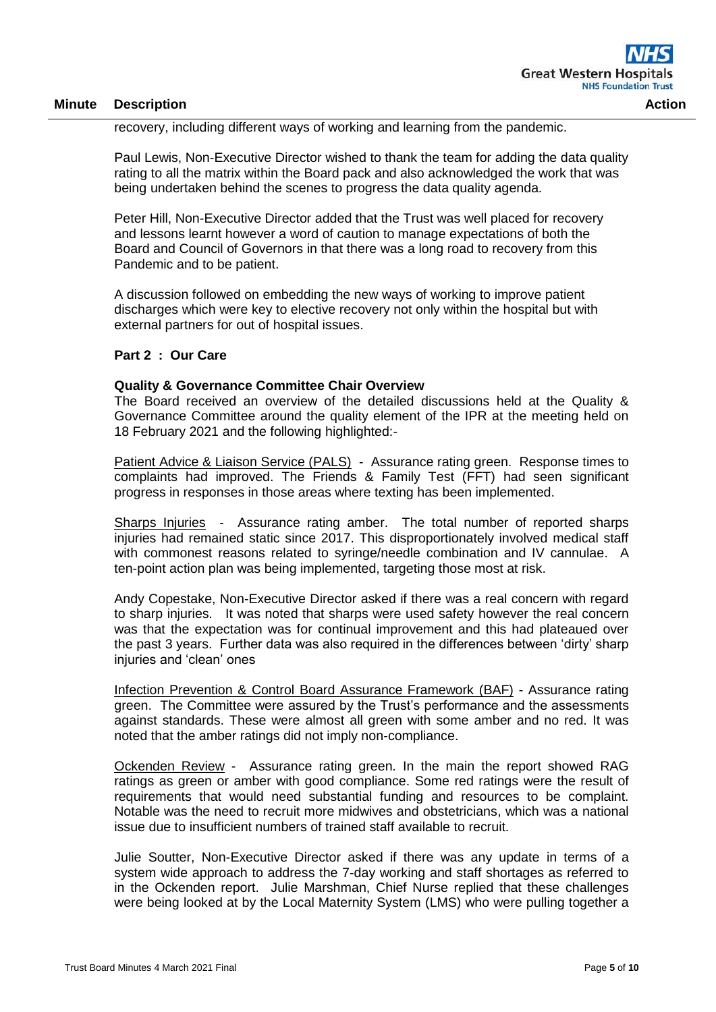recovery, including different ways of working and learning from the pandemic.

Paul Lewis, Non-Executive Director wished to thank the team for adding the data quality rating to all the matrix within the Board pack and also acknowledged the work that was being undertaken behind the scenes to progress the data quality agenda.

Peter Hill, Non-Executive Director added that the Trust was well placed for recovery and lessons learnt however a word of caution to manage expectations of both the Board and Council of Governors in that there was a long road to recovery from this Pandemic and to be patient.

A discussion followed on embedding the new ways of working to improve patient discharges which were key to elective recovery not only within the hospital but with external partners for out of hospital issues.

#### **Part 2 : Our Care**

# **Quality & Governance Committee Chair Overview**

The Board received an overview of the detailed discussions held at the Quality & Governance Committee around the quality element of the IPR at the meeting held on 18 February 2021 and the following highlighted:-

Patient Advice & Liaison Service (PALS) - Assurance rating green. Response times to complaints had improved. The Friends & Family Test (FFT) had seen significant progress in responses in those areas where texting has been implemented.

Sharps Injuries - Assurance rating amber. The total number of reported sharps injuries had remained static since 2017. This disproportionately involved medical staff with commonest reasons related to syringe/needle combination and IV cannulae. A ten-point action plan was being implemented, targeting those most at risk.

Andy Copestake, Non-Executive Director asked if there was a real concern with regard to sharp injuries. It was noted that sharps were used safety however the real concern was that the expectation was for continual improvement and this had plateaued over the past 3 years. Further data was also required in the differences between 'dirty' sharp injuries and 'clean' ones

Infection Prevention & Control Board Assurance Framework (BAF) - Assurance rating green. The Committee were assured by the Trust's performance and the assessments against standards. These were almost all green with some amber and no red. It was noted that the amber ratings did not imply non-compliance.

Ockenden Review - Assurance rating green. In the main the report showed RAG ratings as green or amber with good compliance. Some red ratings were the result of requirements that would need substantial funding and resources to be complaint. Notable was the need to recruit more midwives and obstetricians, which was a national issue due to insufficient numbers of trained staff available to recruit.

Julie Soutter, Non-Executive Director asked if there was any update in terms of a system wide approach to address the 7-day working and staff shortages as referred to in the Ockenden report. Julie Marshman, Chief Nurse replied that these challenges were being looked at by the Local Maternity System (LMS) who were pulling together a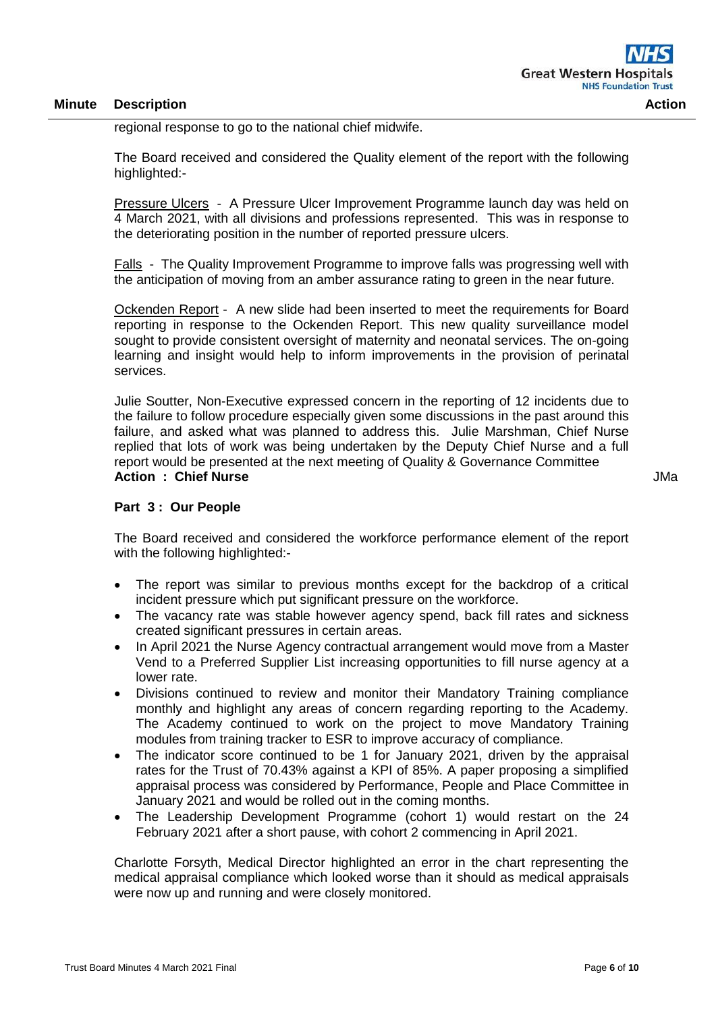regional response to go to the national chief midwife.

The Board received and considered the Quality element of the report with the following highlighted:-

Pressure Ulcers - A Pressure Ulcer Improvement Programme launch day was held on 4 March 2021, with all divisions and professions represented. This was in response to the deteriorating position in the number of reported pressure ulcers.

Falls - The Quality Improvement Programme to improve falls was progressing well with the anticipation of moving from an amber assurance rating to green in the near future.

Ockenden Report - A new slide had been inserted to meet the requirements for Board reporting in response to the Ockenden Report. This new quality surveillance model sought to provide consistent oversight of maternity and neonatal services. The on-going learning and insight would help to inform improvements in the provision of perinatal services.

Julie Soutter, Non-Executive expressed concern in the reporting of 12 incidents due to the failure to follow procedure especially given some discussions in the past around this failure, and asked what was planned to address this. Julie Marshman, Chief Nurse replied that lots of work was being undertaken by the Deputy Chief Nurse and a full report would be presented at the next meeting of Quality & Governance Committee **Action : Chief Nurse**

JMa

#### **Part 3 : Our People**

The Board received and considered the workforce performance element of the report with the following highlighted:-

- The report was similar to previous months except for the backdrop of a critical incident pressure which put significant pressure on the workforce.
- The vacancy rate was stable however agency spend, back fill rates and sickness created significant pressures in certain areas.
- In April 2021 the Nurse Agency contractual arrangement would move from a Master Vend to a Preferred Supplier List increasing opportunities to fill nurse agency at a lower rate.
- Divisions continued to review and monitor their Mandatory Training compliance monthly and highlight any areas of concern regarding reporting to the Academy. The Academy continued to work on the project to move Mandatory Training modules from training tracker to ESR to improve accuracy of compliance.
- The indicator score continued to be 1 for January 2021, driven by the appraisal rates for the Trust of 70.43% against a KPI of 85%. A paper proposing a simplified appraisal process was considered by Performance, People and Place Committee in January 2021 and would be rolled out in the coming months.
- The Leadership Development Programme (cohort 1) would restart on the 24 February 2021 after a short pause, with cohort 2 commencing in April 2021.

Charlotte Forsyth, Medical Director highlighted an error in the chart representing the medical appraisal compliance which looked worse than it should as medical appraisals were now up and running and were closely monitored.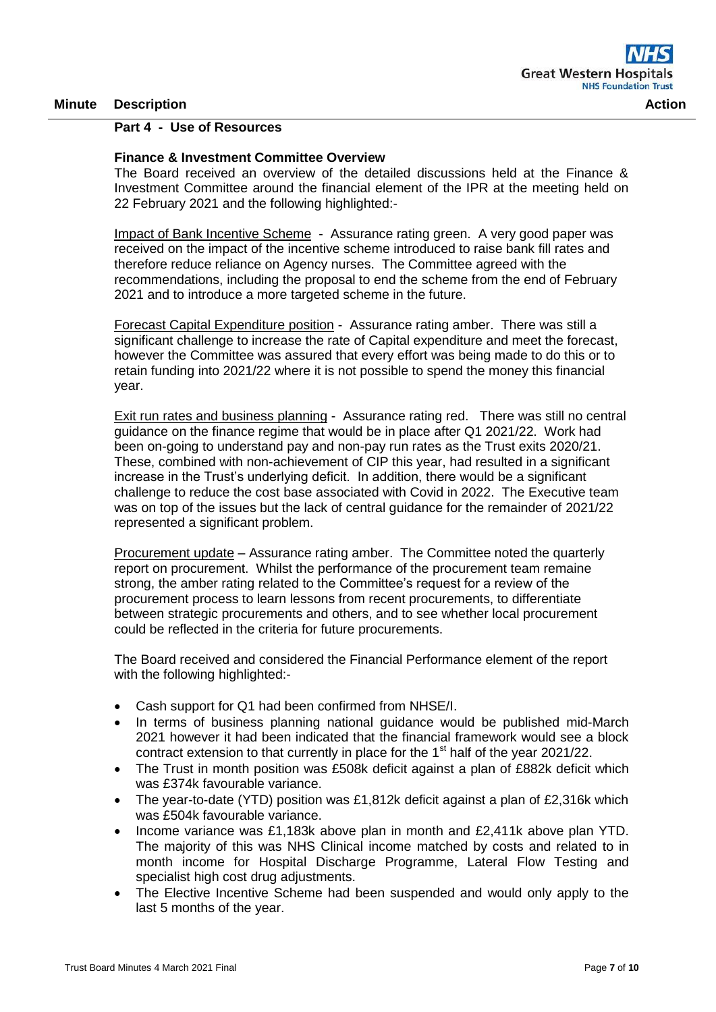#### **Part 4 - Use of Resources**

#### **Finance & Investment Committee Overview**

The Board received an overview of the detailed discussions held at the Finance & Investment Committee around the financial element of the IPR at the meeting held on 22 February 2021 and the following highlighted:-

Impact of Bank Incentive Scheme - Assurance rating green. A very good paper was received on the impact of the incentive scheme introduced to raise bank fill rates and therefore reduce reliance on Agency nurses. The Committee agreed with the recommendations, including the proposal to end the scheme from the end of February 2021 and to introduce a more targeted scheme in the future.

Forecast Capital Expenditure position - Assurance rating amber. There was still a significant challenge to increase the rate of Capital expenditure and meet the forecast, however the Committee was assured that every effort was being made to do this or to retain funding into 2021/22 where it is not possible to spend the money this financial year.

Exit run rates and business planning - Assurance rating red. There was still no central guidance on the finance regime that would be in place after Q1 2021/22. Work had been on-going to understand pay and non-pay run rates as the Trust exits 2020/21. These, combined with non-achievement of CIP this year, had resulted in a significant increase in the Trust's underlying deficit. In addition, there would be a significant challenge to reduce the cost base associated with Covid in 2022. The Executive team was on top of the issues but the lack of central guidance for the remainder of 2021/22 represented a significant problem.

Procurement update – Assurance rating amber. The Committee noted the quarterly report on procurement. Whilst the performance of the procurement team remaine strong, the amber rating related to the Committee's request for a review of the procurement process to learn lessons from recent procurements, to differentiate between strategic procurements and others, and to see whether local procurement could be reflected in the criteria for future procurements.

The Board received and considered the Financial Performance element of the report with the following highlighted:-

- Cash support for Q1 had been confirmed from NHSE/I.
- In terms of business planning national guidance would be published mid-March 2021 however it had been indicated that the financial framework would see a block contract extension to that currently in place for the  $1<sup>st</sup>$  half of the year 2021/22.
- The Trust in month position was £508k deficit against a plan of £882k deficit which was £374k favourable variance.
- The year-to-date (YTD) position was £1,812k deficit against a plan of £2,316k which was £504k favourable variance.
- Income variance was £1,183k above plan in month and £2,411k above plan YTD. The majority of this was NHS Clinical income matched by costs and related to in month income for Hospital Discharge Programme, Lateral Flow Testing and specialist high cost drug adjustments.
- The Elective Incentive Scheme had been suspended and would only apply to the last 5 months of the year.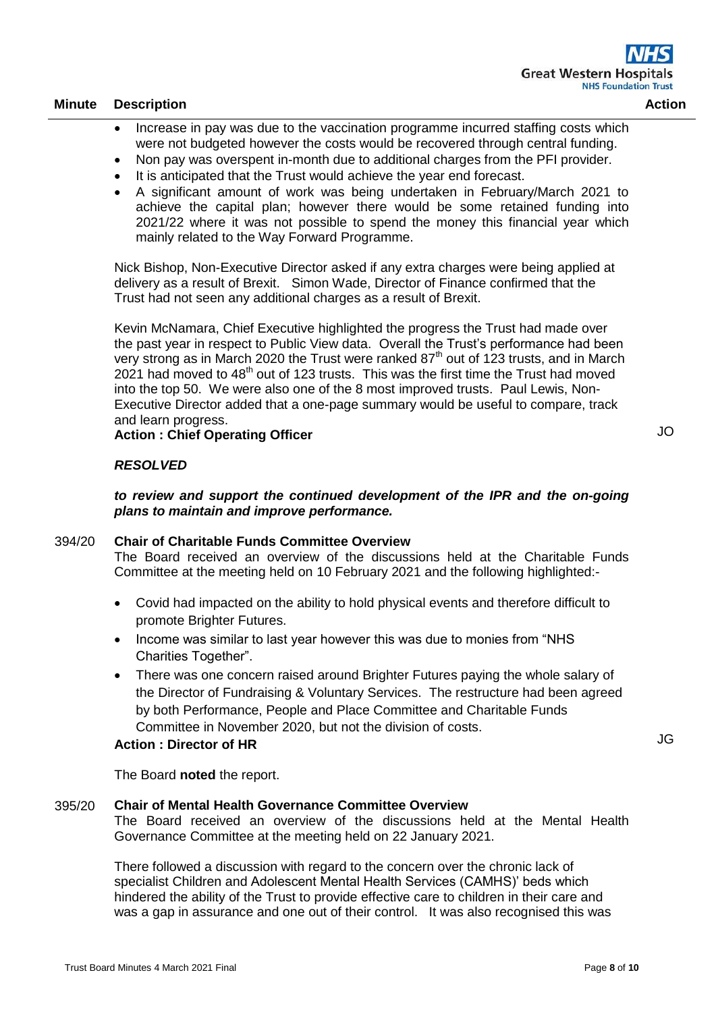- Increase in pay was due to the vaccination programme incurred staffing costs which were not budgeted however the costs would be recovered through central funding.
- Non pay was overspent in-month due to additional charges from the PFI provider.
- It is anticipated that the Trust would achieve the year end forecast.
- A significant amount of work was being undertaken in February/March 2021 to achieve the capital plan; however there would be some retained funding into 2021/22 where it was not possible to spend the money this financial year which mainly related to the Way Forward Programme.

Nick Bishop, Non-Executive Director asked if any extra charges were being applied at delivery as a result of Brexit. Simon Wade, Director of Finance confirmed that the Trust had not seen any additional charges as a result of Brexit.

Kevin McNamara, Chief Executive highlighted the progress the Trust had made over the past year in respect to Public View data. Overall the Trust's performance had been very strong as in March 2020 the Trust were ranked  $87<sup>th</sup>$  out of 123 trusts, and in March 2021 had moved to 48<sup>th</sup> out of 123 trusts. This was the first time the Trust had moved into the top 50. We were also one of the 8 most improved trusts. Paul Lewis, Non-Executive Director added that a one-page summary would be useful to compare, track and learn progress.

# **Action : Chief Operating Officer**

# *RESOLVED*

*to review and support the continued development of the IPR and the on-going plans to maintain and improve performance.*

#### 394/20 **Chair of Charitable Funds Committee Overview**

The Board received an overview of the discussions held at the Charitable Funds Committee at the meeting held on 10 February 2021 and the following highlighted:-

- Covid had impacted on the ability to hold physical events and therefore difficult to promote Brighter Futures.
- Income was similar to last year however this was due to monies from "NHS" Charities Together".
- There was one concern raised around Brighter Futures paying the whole salary of the Director of Fundraising & Voluntary Services. The restructure had been agreed by both Performance, People and Place Committee and Charitable Funds Committee in November 2020, but not the division of costs.

#### **Action : Director of HR**

The Board **noted** the report.

#### 395/20 **Chair of Mental Health Governance Committee Overview**

The Board received an overview of the discussions held at the Mental Health Governance Committee at the meeting held on 22 January 2021.

There followed a discussion with regard to the concern over the chronic lack of specialist Children and Adolescent Mental Health Services (CAMHS)' beds which hindered the ability of the Trust to provide effective care to children in their care and was a gap in assurance and one out of their control. It was also recognised this was JO

JG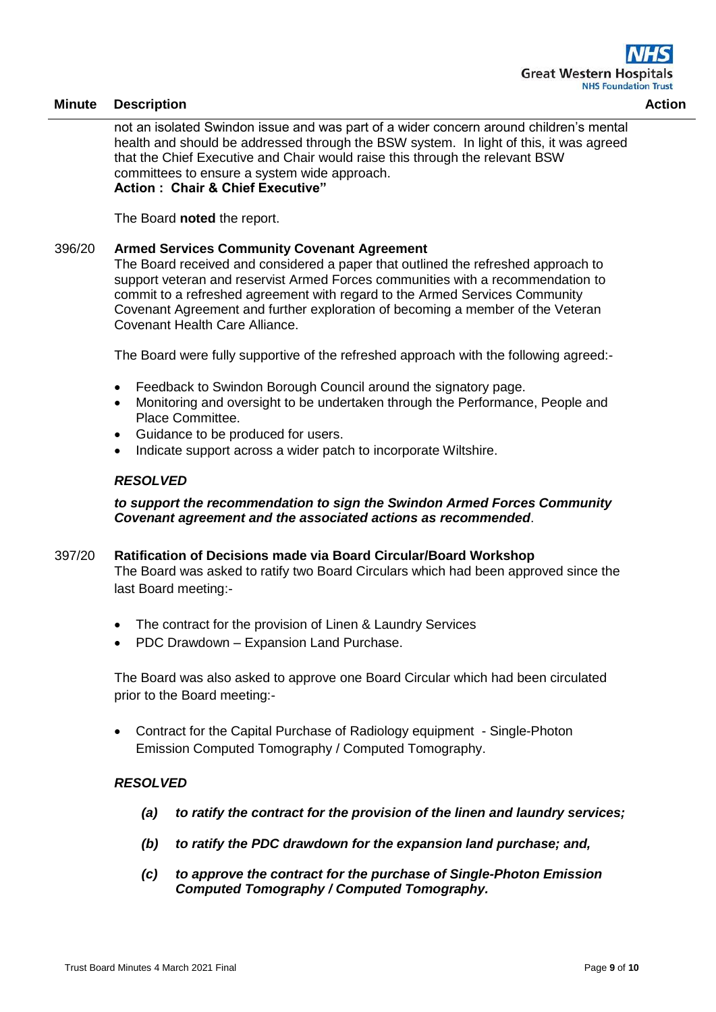not an isolated Swindon issue and was part of a wider concern around children's mental health and should be addressed through the BSW system. In light of this, it was agreed that the Chief Executive and Chair would raise this through the relevant BSW committees to ensure a system wide approach. **Action : Chair & Chief Executive"**

The Board **noted** the report.

## 396/20 **Armed Services Community Covenant Agreement**

The Board received and considered a paper that outlined the refreshed approach to support veteran and reservist Armed Forces communities with a recommendation to commit to a refreshed agreement with regard to the Armed Services Community Covenant Agreement and further exploration of becoming a member of the Veteran Covenant Health Care Alliance.

The Board were fully supportive of the refreshed approach with the following agreed:-

- Feedback to Swindon Borough Council around the signatory page.
- Monitoring and oversight to be undertaken through the Performance, People and Place Committee.
- Guidance to be produced for users.
- Indicate support across a wider patch to incorporate Wiltshire.

#### *RESOLVED*

# *to support the recommendation to sign the Swindon Armed Forces Community Covenant agreement and the associated actions as recommended*.

- 397/20 **Ratification of Decisions made via Board Circular/Board Workshop** The Board was asked to ratify two Board Circulars which had been approved since the last Board meeting:-
	- The contract for the provision of Linen & Laundry Services
	- PDC Drawdown Expansion Land Purchase.

The Board was also asked to approve one Board Circular which had been circulated prior to the Board meeting:-

• Contract for the Capital Purchase of Radiology equipment - Single-Photon Emission Computed Tomography / Computed Tomography.

#### *RESOLVED*

- *(a) to ratify the contract for the provision of the linen and laundry services;*
- *(b) to ratify the PDC drawdown for the expansion land purchase; and,*
- *(c) to approve the contract for the purchase of Single-Photon Emission Computed Tomography / Computed Tomography.*